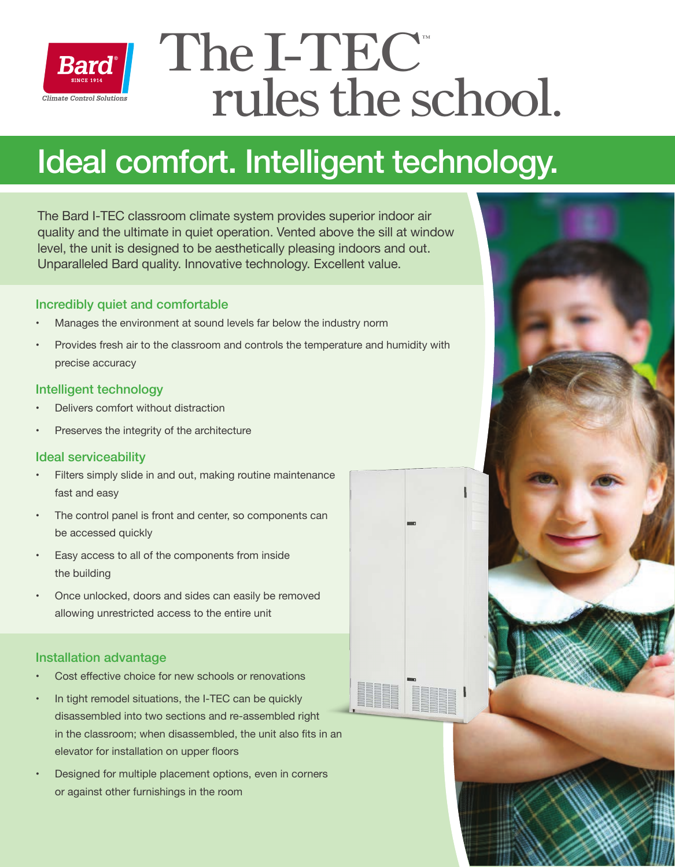

# The I-TEC  $r$ ules the school solutions

## Ideal comfort. Intelligent technology.

The Bard I-TEC classroom climate system provides superior indoor air quality and the ultimate in quiet operation. Vented above the sill at window level, the unit is designed to be aesthetically pleasing indoors and out. Unparalleled Bard quality. Innovative technology. Excellent value.

## Incredibly quiet and comfortable

- Manages the environment at sound levels far below the industry norm
- Provides fresh air to the classroom and controls the temperature and humidity with precise accuracy

## Intelligent technology

- Delivers comfort without distraction
- Preserves the integrity of the architecture

## Ideal serviceability

- Filters simply slide in and out, making routine maintenance fast and easy
- The control panel is front and center, so components can be accessed quickly
- Easy access to all of the components from inside the building
- Once unlocked, doors and sides can easily be removed allowing unrestricted access to the entire unit

## Installation advantage

- Cost effective choice for new schools or renovations
- In tight remodel situations, the I-TEC can be quickly disassembled into two sections and re-assembled right in the classroom; when disassembled, the unit also fits in an elevator for installation on upper floors
- Designed for multiple placement options, even in corners or against other furnishings in the room